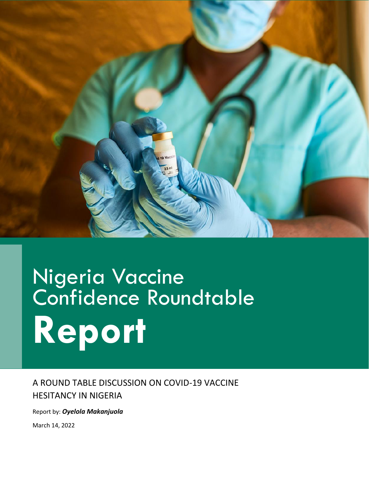

# Nigeria Vaccine Confidence Roundtable **Report**

A ROUND TABLE DISCUSSION ON COVID-19 VACCINE HESITANCY IN NIGERIA

Report by: *Oyelola Makanjuola*

March 14, 2022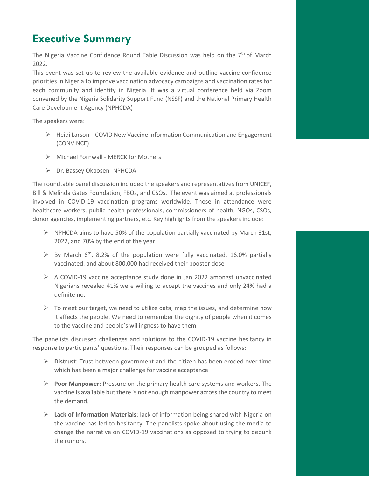# **Executive Summary**

The Nigeria Vaccine Confidence Round Table Discussion was held on the  $7<sup>th</sup>$  of March 2022.

This event was set up to review the available evidence and outline vaccine confidence priorities in Nigeria to improve vaccination advocacy campaigns and vaccination rates for each community and identity in Nigeria. It was a virtual conference held via Zoom convened by the Nigeria Solidarity Support Fund (NSSF) and the National Primary Health Care Development Agency (NPHCDA)

The speakers were:

- $\triangleright$  Heidi Larson COVID New Vaccine Information Communication and Engagement (CONVINCE)
- ➢ Michael Fornwall MERCK for Mothers
- ➢ Dr. Bassey Okposen- NPHCDA

The roundtable panel discussion included the speakers and representatives from UNICEF, Bill & Melinda Gates Foundation, FBOs, and CSOs. The event was aimed at professionals involved in COVID-19 vaccination programs worldwide. Those in attendance were healthcare workers, public health professionals, commissioners of health, NGOs, CSOs, donor agencies, implementing partners, etc. Key highlights from the speakers include:

- $\triangleright$  NPHCDA aims to have 50% of the population partially vaccinated by March 31st, 2022, and 70% by the end of the year
- $\triangleright$  By March 6<sup>th</sup>, 8.2% of the population were fully vaccinated, 16.0% partially vaccinated, and about 800,000 had received their booster dose
- $\triangleright$  A COVID-19 vaccine acceptance study done in Jan 2022 amongst unvaccinated Nigerians revealed 41% were willing to accept the vaccines and only 24% had a definite no.
- $\triangleright$  To meet our target, we need to utilize data, map the issues, and determine how it affects the people. We need to remember the dignity of people when it comes to the vaccine and people's willingness to have them

The panelists discussed challenges and solutions to the COVID-19 vaccine hesitancy in response to participants' questions. Their responses can be grouped as follows:

- ➢ **Distrust**: Trust between government and the citizen has been eroded over time which has been a major challenge for vaccine acceptance
- ➢ **Poor Manpower**: Pressure on the primary health care systems and workers. The vaccine is available but there is not enough manpower across the country to meet the demand.
- ➢ **Lack of Information Materials**: lack of information being shared with Nigeria on the vaccine has led to hesitancy. The panelists spoke about using the media to change the narrative on COVID-19 vaccinations as opposed to trying to debunk the rumors.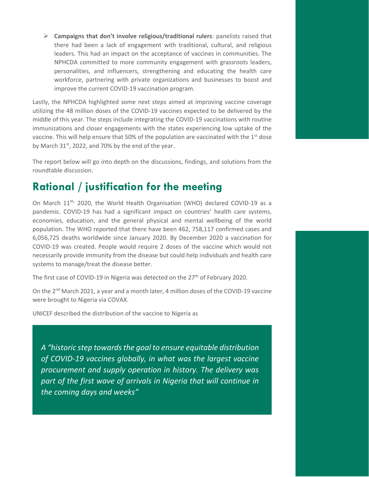➢ **Campaigns that don't involve religious/traditional rulers**: panelists raised that there had been a lack of engagement with traditional, cultural, and religious leaders. This had an impact on the acceptance of vaccines in communities. The NPHCDA committed to more community engagement with grassroots leaders, personalities, and influencers, strengthening and educating the health care workforce, partnering with private organizations and businesses to boost and improve the current COVID-19 vaccination program.

Lastly, the NPHCDA highlighted some next steps aimed at improving vaccine coverage utilizing the 48 million doses of the COVID-19 vaccines expected to be delivered by the middle of this year. The steps include integrating the COVID-19 vaccinations with routine immunizations and closer engagements with the states experiencing low uptake of the vaccine. This will help ensure that 50% of the population are vaccinated with the 1<sup>st</sup> dose by March 31<sup>st</sup>, 2022, and 70% by the end of the year.

The report below will go into depth on the discussions, findings, and solutions from the roundtable discussion.

### **Rational / justification for the meeting**

On March 11<sup>th,</sup> 2020, the World Health Organisation (WHO) declared COVID-19 as a pandemic. COVID-19 has had a significant impact on countries' health care systems, economies, education, and the general physical and mental wellbeing of the world population. The WHO reported that there have been 462, 758,117 confirmed cases and 6,056,725 deaths worldwide since January 2020. By December 2020 a vaccination for COVID-19 was created. People would require 2 doses of the vaccine which would not necessarily provide immunity from the disease but could help individuals and health care systems to manage/treat the disease better.

The first case of COVID-19 in Nigeria was detected on the 27<sup>th</sup> of February 2020.

On the 2<sup>nd</sup> March 2021, a year and a month later, 4 million doses of the COVID-19 vaccine were brought to Nigeria via COVAX.

UNICEF described the distribution of the vaccine to Nigeria as

*A "historic step towards the goal to ensure equitable distribution of COVID-19 vaccines globally, in what was the largest vaccine procurement and supply operation in history. The delivery was part of the first wave of arrivals in Nigeria that will continue in the coming days and weeks"*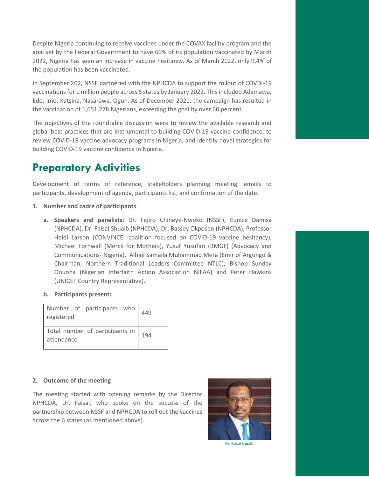Despite Nigeria continuing to receive vaccines under the COVAX facility program and the goal set by the Federal Government to have 60% of its population vaccinated by March 2022, Nigeria has seen an increase in vaccine hesitancy. As of March 2022, only 9.4% of the population has been vaccinated.

In September 202, NSSF partnered with the NPHCDA to support the rollout of COVDI-19 vaccinations for 1 million people across 6 states by January 2022. This included Adamawa, Edo, Imo, Katsina, Nasarawa, Ogun. As of December 2021, the campaign has resulted in the vaccination of 1,651,278 Nigerians, exceeding the goal by over 60 percent.

The objectives of the roundtable discussion were to review the available research and global best practices that are instrumental to building COVID-19 vaccine confidence, to review COVID-19 vaccine advocacy programs in Nigeria, and identify novel strategies for building COVID-19 vaccine confidence in Nigeria.

# **Preparatory Activities**

Development of terms of reference, stakeholders planning meeting, emails to participants, development of agenda, participants list, and confirmation of the date.

- **1. Number and cadre of participants**:
	- **a. Speakers and panelists:** Dr. Fejiro Chineye-Nwoko (NSSF), Eunice Damisa (NPHCDA), Dr. Faisal Shuaib (NPHCDA), Dr. Bassey Okposen (NPHCDA), Professor Heidi Larson (CONVINCE -coalition focused on COVID-19 vaccine hesitancy), Michael Fornwall (Merck for Mothers), Yusuf Yusufari (BMGF) (Advocacy and Communications- Nigeria), Alhaji Samaila Muhammad Mera (Emir of Argungu & Chairman, Northern Traditional Leaders Committee NTLC), Bishop Sunday Onuoha (Nigerian Interfaith Action Association NIFAA) and Peter Hawkins (UNICEF Country Representative).
	- **b. Participants present:**

| registered                                         |  | Number of participants who $\begin{array}{ c c c }\n\hline\n449\n\end{array}$ |  |  |
|----------------------------------------------------|--|-------------------------------------------------------------------------------|--|--|
| Total number of participants in  194<br>attendance |  |                                                                               |  |  |

#### **2. Outcome of the meeting**

The meeting started with opening remarks by the Director NPHCDA, Dr. Faisal, who spoke on the success of the partnership between NSSF and NPHCDA to roll out the vaccines across the 6 states (as mentioned above).



Dr. Faisal Shuaib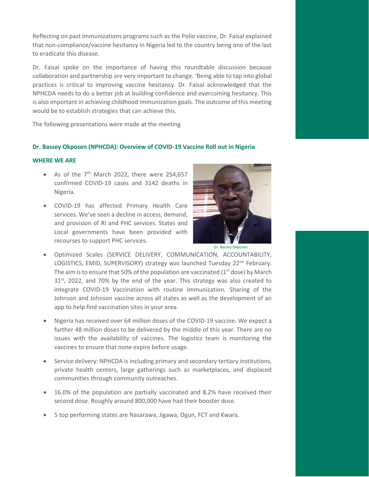Reflecting on past immunizations programs such as the Polio vaccine, Dr. Faisal explained that non-compliance/vaccine hesitancy in Nigeria led to the country being one of the last to eradicate this disease.

Dr. Faisal spoke on the importance of having this roundtable discussion because collaboration and partnership are very important to change. 'Being able to tap into global practices is critical to improving vaccine hesitancy. Dr. Faisal acknowledged that the NPHCDA needs to do a better job at building confidence and overcoming hesitancy. This is also important in achieving childhood immunization goals. The outcome of this meeting would be to establish strategies that can achieve this.

The following presentations were made at the meeting

#### **Dr. Bassey Okposen (NPHCDA): Overview of COVID-19 Vaccine Roll out in Nigeria**

#### **WHERE WE ARE**

- As of the  $7<sup>th</sup>$  March 2022, there were 254,657 confirmed COVID-19 cases and 3142 deaths in Nigeria.
- COVID-19 has affected Primary Health Care services. We've seen a decline in access, demand, and provision of RI and PHC services. States and Local governments have been provided with recourses to support PHC services.



Dr. Bassey Okposen

- Optimized Scales (SERVICE DELIVERY, COMMUNICATION, ACCOUNTABILITY, LOGISTICS, EMID, SUPERVISORY) strategy was launched Tuesday 22<sup>nd</sup> February. The aim is to ensure that 50% of the population are vaccinated ( $1<sup>st</sup>$  dose) by March  $31<sup>st</sup>$ , 2022, and 70% by the end of the year. This strategy was also created to integrate COVID-19 Vaccination with routine immunization. Sharing of the Johnson and Johnson vaccine across all states as well as the development of an app to help find vaccination sites in your area.
- Nigeria has received over 64 million doses of the COVID-19 vaccine. We expect a further 48 million doses to be delivered by the middle of this year. There are no issues with the availability of vaccines. The logistics team is monitoring the vaccines to ensure that none expire before usage.
- Service delivery: NPHCDA is including primary and secondary tertiary institutions, private health centers, large gatherings such as marketplaces, and displaced communities through community outreaches.
- 16.0% of the population are partially vaccinated and 8.2% have received their second dose. Roughly around 800,000 have had their booster dose.
- 5 top performing states are Nasarawa, Jigawa, Ogun, FCT and Kwara.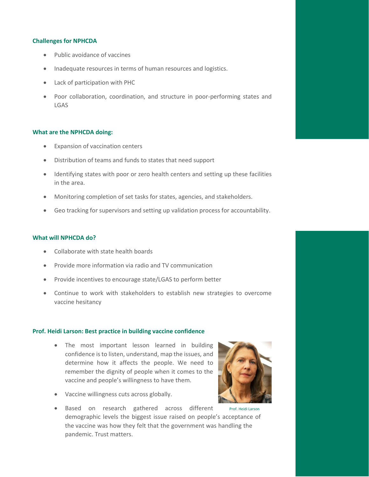#### **Challenges for NPHCDA**

- Public avoidance of vaccines
- Inadequate resources in terms of human resources and logistics.
- Lack of participation with PHC
- Poor collaboration, coordination, and structure in poor-performing states and LGAS

#### **What are the NPHCDA doing:**

- Expansion of vaccination centers
- Distribution of teams and funds to states that need support
- Identifying states with poor or zero health centers and setting up these facilities in the area.
- Monitoring completion of set tasks for states, agencies, and stakeholders.
- Geo tracking for supervisors and setting up validation process for accountability.

#### **What will NPHCDA do?**

- Collaborate with state health boards
- Provide more information via radio and TV communication
- Provide incentives to encourage state/LGAS to perform better
- Continue to work with stakeholders to establish new strategies to overcome vaccine hesitancy

#### **Prof. Heidi Larson: Best practice in building vaccine confidence**

• The most important lesson learned in building confidence is to listen, understand, map the issues, and determine how it affects the people. We need to remember the dignity of people when it comes to the vaccine and people's willingness to have them.



- Vaccine willingness cuts across globally.
- Based on research gathered across different Prof. Heidi Larson demographic levels the biggest issue raised on people's acceptance of the vaccine was how they felt that the government was handling the pandemic. Trust matters.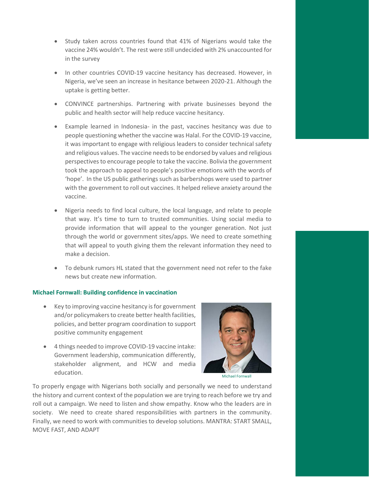- Study taken across countries found that 41% of Nigerians would take the vaccine 24% wouldn't. The rest were still undecided with 2% unaccounted for in the survey
- In other countries COVID-19 vaccine hesitancy has decreased. However, in Nigeria, we've seen an increase in hesitance between 2020-21. Although the uptake is getting better.
- CONVINCE partnerships. Partnering with private businesses beyond the public and health sector will help reduce vaccine hesitancy.
- Example learned in Indonesia- in the past, vaccines hesitancy was due to people questioning whether the vaccine was Halal. For the COVID-19 vaccine, it was important to engage with religious leaders to consider technical safety and religious values. The vaccine needs to be endorsed by values and religious perspectives to encourage people to take the vaccine. Bolivia the government took the approach to appeal to people's positive emotions with the words of 'hope'. In the US public gatherings such as barbershops were used to partner with the government to roll out vaccines. It helped relieve anxiety around the vaccine.
- Nigeria needs to find local culture, the local language, and relate to people that way. It's time to turn to trusted communities. Using social media to provide information that will appeal to the younger generation. Not just through the world or government sites/apps. We need to create something that will appeal to youth giving them the relevant information they need to make a decision.
- To debunk rumors HL stated that the government need not refer to the fake news but create new information.

#### **Michael Fornwall: Building confidence in vaccination**

- Key to improving vaccine hesitancy is for government and/or policymakers to create better health facilities, policies, and better program coordination to support positive community engagement
- 4 things needed to improve COVID-19 vaccine intake: Government leadership, communication differently, stakeholder alignment, and HCW and media education.



Michael Fornwall

To properly engage with Nigerians both socially and personally we need to understand the history and current context of the population we are trying to reach before we try and roll out a campaign. We need to listen and show empathy. Know who the leaders are in society. We need to create shared responsibilities with partners in the community. Finally, we need to work with communities to develop solutions. MANTRA: START SMALL, MOVE FAST, AND ADAPT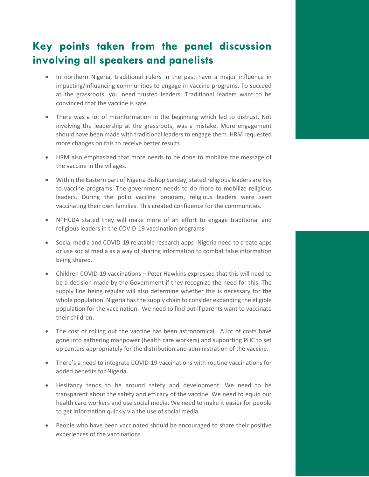## **Key points taken from the panel discussion involving all speakers and panelists**

- In northern Nigeria, traditional rulers in the past have a major influence in impacting/influencing communities to engage in vaccine programs. To succeed at the grassroots, you need trusted leaders. Traditional leaders want to be convinced that the vaccine is safe.
- There was a lot of misinformation in the beginning which led to distrust. Not involving the leadership at the grassroots, was a mistake. More engagement should have been made with traditional leaders to engage them. HRM requested more changes on this to receive better results
- HRM also emphasized that more needs to be done to mobilize the message of the vaccine in the villages.
- Within the Eastern part of Nigeria Bishop Sunday, stated religious leaders are key to vaccine programs. The government needs to do more to mobilize religious leaders. During the polio vaccine program, religious leaders were seen vaccinating their own families. This created confidence for the communities.
- NPHCDA stated they will make more of an effort to engage traditional and religious leaders in the COVID-19 vaccination programs
- Social media and COVID-19 relatable research apps- Nigeria need to create apps or use social media as a way of sharing information to combat false information being shared.
- Children COVID-19 vaccinations Peter Hawkins expressed that this will need to be a decision made by the Government if they recognize the need for this. The supply line being regular will also determine whether this is necessary for the whole population. Nigeria has the supply chain to consider expanding the eligible population for the vaccination. We need to find out if parents want to vaccinate their children.
- The cost of rolling out the vaccine has been astronomical. A lot of costs have gone into gathering manpower (health care workers) and supporting PHC to set up centers appropriately for the distribution and administration of the vaccine.
- There's a need to integrate COVID-19 vaccinations with routine vaccinations for added benefits for Nigeria.
- Hesitancy tends to be around safety and development. We need to be transparent about the safety and efficacy of the vaccine. We need to equip our health care workers and use social media. We need to make it easier for people to get information quickly via the use of social media.
- People who have been vaccinated should be encouraged to share their positive experiences of the vaccinations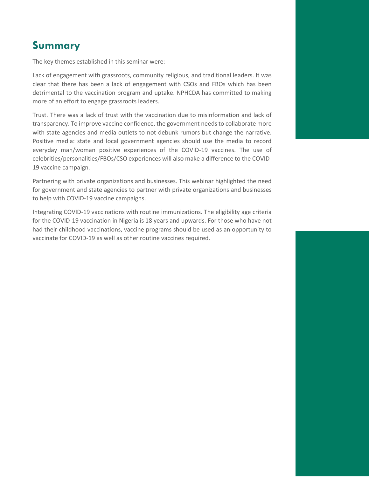## **Summary**

The key themes established in this seminar were:

Lack of engagement with grassroots, community religious, and traditional leaders. It was clear that there has been a lack of engagement with CSOs and FBOs which has been detrimental to the vaccination program and uptake. NPHCDA has committed to making more of an effort to engage grassroots leaders.

Trust. There was a lack of trust with the vaccination due to misinformation and lack of transparency. To improve vaccine confidence, the government needs to collaborate more with state agencies and media outlets to not debunk rumors but change the narrative. Positive media: state and local government agencies should use the media to record everyday man/woman positive experiences of the COVID-19 vaccines. The use of celebrities/personalities/FBOs/CSO experiences will also make a difference to the COVID-19 vaccine campaign.

Partnering with private organizations and businesses. This webinar highlighted the need for government and state agencies to partner with private organizations and businesses to help with COVID-19 vaccine campaigns.

Integrating COVID-19 vaccinations with routine immunizations. The eligibility age criteria for the COVID-19 vaccination in Nigeria is 18 years and upwards. For those who have not had their childhood vaccinations, vaccine programs should be used as an opportunity to vaccinate for COVID-19 as well as other routine vaccines required.